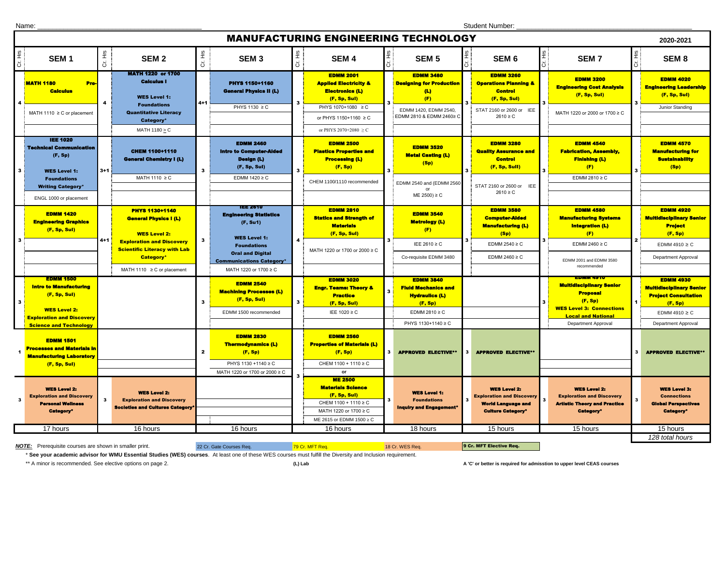Name: \_\_\_\_\_\_\_\_\_\_\_\_\_\_\_\_\_\_\_\_\_\_\_\_\_\_\_\_\_\_\_\_\_\_\_\_\_\_\_\_\_\_\_\_ Student Number: \_\_\_\_\_\_\_\_\_\_\_\_\_\_\_\_\_\_\_\_\_\_\_\_\_\_\_\_\_\_\_\_\_\_\_\_\_\_\_\_\_\_\_\_\_\_\_

|                                                                                                                                                           | <b>MANUFACTURING ENGINEERING TECHNOLOGY</b><br>2020-2021                                                                                                        |                |                                                                                                                                                                                                                 |                     |                                                                                                                                                                                            |              |                                                                                                                                                                             |                |                                                                                                                                      |    |                                                                                                                                    |           |                                                                                                                                                      |    |                                                                                                                                            |
|-----------------------------------------------------------------------------------------------------------------------------------------------------------|-----------------------------------------------------------------------------------------------------------------------------------------------------------------|----------------|-----------------------------------------------------------------------------------------------------------------------------------------------------------------------------------------------------------------|---------------------|--------------------------------------------------------------------------------------------------------------------------------------------------------------------------------------------|--------------|-----------------------------------------------------------------------------------------------------------------------------------------------------------------------------|----------------|--------------------------------------------------------------------------------------------------------------------------------------|----|------------------------------------------------------------------------------------------------------------------------------------|-----------|------------------------------------------------------------------------------------------------------------------------------------------------------|----|--------------------------------------------------------------------------------------------------------------------------------------------|
| $\frac{\omega}{\pm}$<br>ö                                                                                                                                 | SEM <sub>1</sub>                                                                                                                                                | Cr. Hrs        | SEM <sub>2</sub>                                                                                                                                                                                                | $\frac{5}{10}$<br>ö | SEM <sub>3</sub>                                                                                                                                                                           | Cr. Hrs      | <b>SEM4</b>                                                                                                                                                                 | Ξ.             | SEM <sub>5</sub>                                                                                                                     |    | SEM 6                                                                                                                              | S.<br>His | SEM <sub>7</sub>                                                                                                                                     | 호  | SEM <sub>8</sub>                                                                                                                           |
|                                                                                                                                                           | <b>MATH 1180</b><br>Pre-<br><b>Calculus</b><br>MATH 1110 ≥ C or placement                                                                                       | $\overline{4}$ | <b>MATH 1220 or 1700</b><br><b>Calculus I</b><br><b>WES Level 1:</b><br><b>Foundations</b><br><b>Quantitative Literacy</b><br>Category*<br>MATH 1180 > C                                                        | $4 + 1$             | PHYS 1150+1160<br><b>General Physics II (L)</b><br>PHYS 1130 ≥ C                                                                                                                           | 3            | <b>EDMM 2001</b><br><b>Applied Electricity &amp;</b><br><b>Electronics (L)</b><br>(F, Sp, Sul)<br>PHYS 1070+1080 ≥ C<br>or PHYS 1150+1160 ≥ C<br>or PHYS 2070+2080 $\geq$ C |                | <b>EDMM 3480</b><br><b>Designing for Production</b><br>$\left( L\right)$<br>(F)<br>EDMM 1420, EDMM 2540.<br>EDMM 2810 & EDMM 2460≥ C |    | <b>EDMM 3260</b><br><b>Operations Planning &amp;</b><br><b>Control</b><br>(F, Sp, Sul)<br>STAT 2160 or 2600 or IEE<br>$2610 \ge C$ |           | <b>EDMM 3200</b><br><b>Engineering Cost Analysis</b><br>(F, Sp, Sul)<br>MATH 1220 or 2000 or 1700 ≥ C                                                |    | <b>EDMM 4020</b><br><b>Engineering Leadership</b><br>(F, Sp, Sul)<br>Junior Standing                                                       |
| $\mathbf{3}$                                                                                                                                              | <b>IEE 1020</b><br><b>Technical Communication</b><br>(F, Sp)<br><b>WES Level 1:</b><br><b>Foundations</b><br><b>Writing Category*</b><br>ENGL 1000 or placement | $3+1$          | <b>CHEM 1100+1110</b><br><b>General Chemistry I (L)</b><br>MATH 1110 ≥ C                                                                                                                                        | $\mathbf{3}$        | <b>EDMM 2460</b><br><b>Intro to Computer-Alded</b><br><b>Design (L)</b><br>(F, Sp, Sul)<br>EDMM $1420 \ge C$                                                                               | $\mathbf{3}$ | <b>EDMM 2500</b><br><b>Plastics Properties and</b><br><b>Processing (L)</b><br>(F, Sp)<br>CHEM 1100/1110 recommended                                                        | 3              | <b>EDMM 3520</b><br><b>Metal Casting (L)</b><br>(Sp)<br>EDMM 2540 and (EDMM 2560<br>$ME 2500 \ge C$                                  | 3  | <b>EDMM 3280</b><br><b>Quality Assurance and</b><br><b>Control</b><br>(F, Sp, Sull)<br>STAT 2160 or 2600 or IEE<br>$2610 \ge C$    |           | <b>EDMM 4540</b><br><b>Fabrication, Assembly,</b><br><b>Finishing (L)</b><br>(F)<br>EDMM 2810 $\geq$ C                                               |    | <b>EDMM 4570</b><br><b>Manufacturing for</b><br><b>Sustainability</b><br>(Sp)                                                              |
|                                                                                                                                                           | <b>EDMM 1420</b><br><b>Engineering Graphics</b><br>(F, Sp, Sul)                                                                                                 | $4 + 1$        | <b>PHYS 1130+1140</b><br><b>General Physics I (L)</b><br><b>WES Level 2:</b><br><b>Exploration and Discovery</b><br><b>Scientific Literacy with Lab</b><br><b>Category</b> *<br>MATH 1110 $\geq$ C or placement | $\mathbf{3}$        | 144 ZO 10<br><b>Engineering Statistics</b><br>(F, Su1)<br><b>WES Level 1:</b><br><b>Foundations</b><br><b>Oral and Digital</b><br><b>Communications Category*</b><br>MATH 1220 or 1700 ≥ C |              | <b>EDMM 2810</b><br><b>Statics and Strength of</b><br><b>Materials</b><br>(F, Sp, Sul)<br>MATH 1220 or 1700 or 2000 ≥ C                                                     | 3.             | <b>EDMM 3540</b><br><b>Metrology (L)</b><br>(F)<br>IEE 2610 ≥ C<br>Co-requisite EDMM 3480                                            | -3 | <b>EDMM 3580</b><br><b>Computer-Alded</b><br><b>Manufacturing (L)</b><br>(Sp)<br>EDMM 2540 $\geq$ C<br>EDMM 2460 $\geq$ C          |           | <b>EDMM 4580</b><br><b>Manufacturing Systems</b><br><b>Integration (L)</b><br>(F)<br>EDMM 2460 $\geq$ C<br>EDMM 2001 and EDMM 3580<br>recommended    | 2  | <b>EDMM 4920</b><br><mark>Multidisciplinary Senior</mark><br><b>Project</b><br>(F, Sp)<br>EDMM 4910 $\geq$ C<br><b>Department Approval</b> |
| $\mathbf{3}$                                                                                                                                              | <b>EDMM 1500</b><br><b>Intro to Manufacturing</b><br>(F, Sp, Sul)<br><b>WES Level 2:</b><br><b>Exploration and Discovery</b><br><b>Science and Technology</b>   |                |                                                                                                                                                                                                                 | $\mathbf{3}$        | <b>EDMM 2540</b><br><b>Machining Processes (L)</b><br>(F, Sp, Sul)<br>EDMM 1500 recommended                                                                                                | $\mathbf{3}$ | <b>EDMM 3020</b><br><b>Engr. Teams: Theory &amp;</b><br><b>Practice</b><br>(F, Sp, Sul)<br>IEE 1020 ≥ C                                                                     |                | <b>EDMM 3840</b><br><b>Fluid Mechanics and</b><br><b>Hydraulics (L)</b><br>(F, Sp)<br>EDMM 2810 ≥ C<br>PHYS 1130+1140 ≥ C            |    |                                                                                                                                    |           | <b>Multidisciplinary Senior</b><br><b>Proposal</b><br>(F, Sp)<br><b>WES Level 3: Connections</b><br><b>Local and National</b><br>Department Approval | 1. | <b>EDMM 4930</b><br><b>Multidisciplinary Senior</b><br><b>Project Consultation</b><br>(F, Sp)<br>EDMM 4910 $\geq$ C<br>Department Approval |
|                                                                                                                                                           | <b>EDMM 1501</b><br><b>Processes and Materials in</b><br><b>Manufacturing Laboratory</b><br>(F, Sp, Sul)                                                        |                |                                                                                                                                                                                                                 | $\mathbf{2}$        | <b>EDMM 2830</b><br><b>Thermodynamics (L)</b><br>(F, Sp)<br>PHYS 1130 +1140 ≥ C<br>MATH 1220 or 1700 or 2000 ≥ C                                                                           |              | <b>EDMM 2560</b><br><b>Properties of Materials (L)</b><br>(F, Sp)<br>CHEM 1100 + 1110 ≥ C<br>or                                                                             | 3 <sup>1</sup> | <b>APPROVED ELECTIVE**</b>                                                                                                           | -3 | <b>APPROVED ELECTIVE**</b>                                                                                                         |           |                                                                                                                                                      | 3  | <b>APPROVED ELECTIVE**</b>                                                                                                                 |
| $\overline{\mathbf{3}}$                                                                                                                                   | <b>WES Level 2:</b><br><b>Exploration and Discovery</b><br><b>Personal Wellness</b><br><b>Category</b> *                                                        | $\mathbf{3}$   | <b>WES Level 2:</b><br><b>Exploration and Discovery</b><br><b>Societies and Cultures Category</b>                                                                                                               |                     |                                                                                                                                                                                            |              | <b>ME 2500</b><br><b>Materials Science</b><br>(F, Sp, Sul)<br>CHEM 1100 + 1110 ≥ C<br>MATH 1220 or 1700 ≥ C<br>ME 2615 or EDMM 1500 ≥ C                                     | $\mathbf{3}$   | <b>WES Level 1:</b><br><b>Foundations</b><br><b>Inquiry and Engagement<sup>®</sup></b>                                               |    | <b>WES Level 2:</b><br><b>Exploration and Discovery</b><br><b>World Language and</b><br><b>Culture Category*</b>                   |           | <b>WES Level 2:</b><br><b>Exploration and Discovery</b><br><b>Artistic Theory and Practice</b><br><b>Category</b>                                    |    | <b>WES Level 3:</b><br><b>Connections</b><br><b>Global Perspectives</b><br><b>Category</b>                                                 |
|                                                                                                                                                           | 17 hours                                                                                                                                                        |                | 16 hours                                                                                                                                                                                                        |                     | 16 hours                                                                                                                                                                                   |              | 16 hours                                                                                                                                                                    |                | 18 hours                                                                                                                             |    | 15 hours                                                                                                                           |           | 15 hours                                                                                                                                             |    | 15 hours                                                                                                                                   |
| 9 Cr. MFT Elective Rea.<br><b>NOTE:</b> Prerequisite courses are shown in smaller print<br>79 Cr. MFT Req.<br>22 Cr. Gate Courses Reg.<br>18 Cr. WES Rea. |                                                                                                                                                                 |                |                                                                                                                                                                                                                 |                     |                                                                                                                                                                                            |              |                                                                                                                                                                             |                | 128 total hours                                                                                                                      |    |                                                                                                                                    |           |                                                                                                                                                      |    |                                                                                                                                            |

\* **See your academic advisor for WMU Essential Studies (WES) courses**. At least one of these WES courses must fulfill the Diversity and Inclusion requirement.

\*\* A minor is recommended. See elective options on page 2. **(L) Lab A 'C' or better is required for admisstion to upper level CEAS courses**